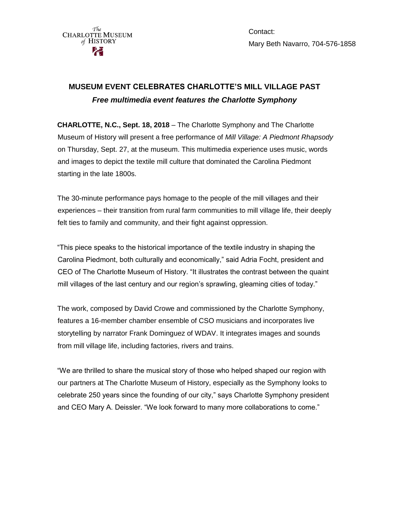

Contact: Mary Beth Navarro, 704-576-1858

## **MUSEUM EVENT CELEBRATES CHARLOTTE'S MILL VILLAGE PAST** *Free multimedia event features the Charlotte Symphony*

**CHARLOTTE, N.C., Sept. 18, 2018** – The Charlotte Symphony and The Charlotte Museum of History will present a free performance of *Mill Village: A Piedmont Rhapsody* on Thursday, Sept. 27, at the museum. This multimedia experience uses music, words and images to depict the textile mill culture that dominated the Carolina Piedmont starting in the late 1800s.

The 30-minute performance pays homage to the people of the mill villages and their experiences – their transition from rural farm communities to mill village life, their deeply felt ties to family and community, and their fight against oppression.

"This piece speaks to the historical importance of the textile industry in shaping the Carolina Piedmont, both culturally and economically," said Adria Focht, president and CEO of The Charlotte Museum of History. "It illustrates the contrast between the quaint mill villages of the last century and our region's sprawling, gleaming cities of today."

The work, composed by David Crowe and commissioned by the Charlotte Symphony, features a 16-member chamber ensemble of CSO musicians and incorporates live storytelling by narrator Frank Dominguez of WDAV. It integrates images and sounds from mill village life, including factories, rivers and trains.

"We are thrilled to share the musical story of those who helped shaped our region with our partners at The Charlotte Museum of History, especially as the Symphony looks to celebrate 250 years since the founding of our city," says Charlotte Symphony president and CEO Mary A. Deissler. "We look forward to many more collaborations to come."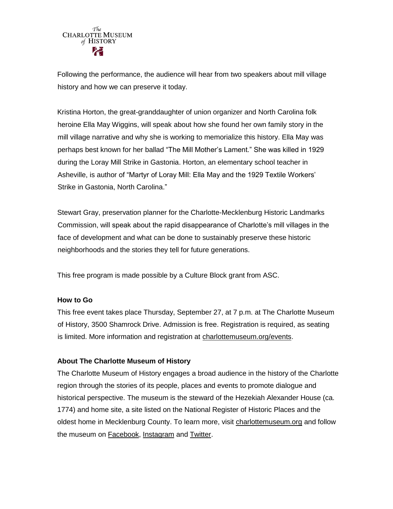

Following the performance, the audience will hear from two speakers about mill village history and how we can preserve it today.

Kristina Horton, the great-granddaughter of union organizer and North Carolina folk heroine Ella May Wiggins, will speak about how she found her own family story in the mill village narrative and why she is working to memorialize this history. Ella May was perhaps best known for her ballad "The Mill Mother's Lament." She was killed in 1929 during the Loray Mill Strike in Gastonia. Horton, an elementary school teacher in Asheville, is author of "Martyr of Loray Mill: Ella May and the 1929 Textile Workers' Strike in Gastonia, North Carolina."

Stewart Gray, preservation planner for the Charlotte-Mecklenburg Historic Landmarks Commission, will speak about the rapid disappearance of Charlotte's mill villages in the face of development and what can be done to sustainably preserve these historic neighborhoods and the stories they tell for future generations.

This free program is made possible by a Culture Block grant from ASC.

## **How to Go**

This free event takes place Thursday, September 27, at 7 p.m. at The Charlotte Museum of History, 3500 Shamrock Drive. Admission is free. Registration is required, as seating is limited. More information and registration at [charlottemuseum.org/events.](http://charlottemuseum.org/events)

## **About The Charlotte Museum of History**

The Charlotte Museum of History engages a broad audience in the history of the Charlotte region through the stories of its people, places and events to promote dialogue and historical perspective. The museum is the steward of the Hezekiah Alexander House (ca. 1774) and home site, a site listed on the National Register of Historic Places and the oldest home in Mecklenburg County. To learn more, visit [charlottemuseum.org](http://charlottemuseum.org/) and follow the museum on [Facebook,](https://www.facebook.com/charlottemuseumofhistory/) [Instagram](https://www.instagram.com/charlottemuseumofhistory/) and [Twitter.](https://twitter.com/CLThistory)